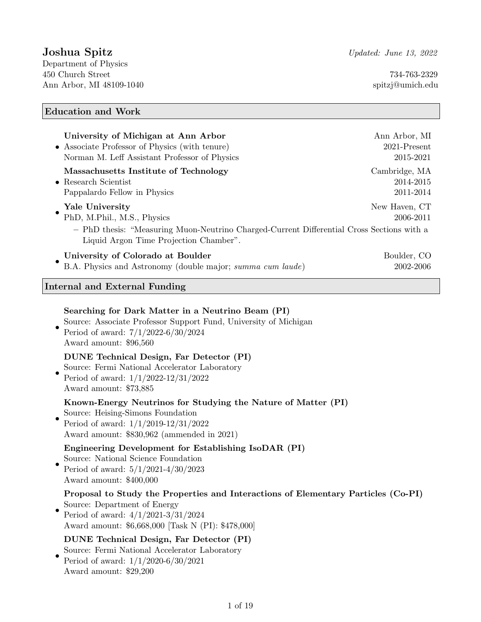# Joshua Spitz Vpdated: June 13, 2022

Department of Physics 450 Church Street 734-763-2329 Ann Arbor, MI 48109-1040 spitzj@umich.edu

# Education and Work

| University of Michigan at Ann Arbor<br>Associate Professor of Physics (with tenure)<br>Norman M. Leff Assistant Professor of Physics                                                                                                        | Ann Arbor, MI<br>2021-Present<br>2015-2021 |
|---------------------------------------------------------------------------------------------------------------------------------------------------------------------------------------------------------------------------------------------|--------------------------------------------|
| Massachusetts Institute of Technology<br>$\bullet$ Research Scientist<br>Pappalardo Fellow in Physics                                                                                                                                       | Cambridge, MA<br>2014-2015<br>2011-2014    |
| Yale University<br>PhD, M.Phil., M.S., Physics<br>- PhD thesis: "Measuring Muon-Neutrino Charged-Current Differential Cross Sections with a                                                                                                 | New Haven, CT<br>2006-2011                 |
| Liquid Argon Time Projection Chamber".                                                                                                                                                                                                      |                                            |
| University of Colorado at Boulder<br>B.A. Physics and Astronomy (double major; summa cum laude)                                                                                                                                             | Boulder, CO<br>2002-2006                   |
| Internal and External Funding                                                                                                                                                                                                               |                                            |
| Searching for Dark Matter in a Neutrino Beam (PI)<br>Source: Associate Professor Support Fund, University of Michigan<br>Period of award: $7/1/2022-6/30/2024$<br>Award amount: \$96,560<br><b>DUNE</b> Technical Design, Far Detector (PI) |                                            |
| Source: Fermi National Accelerator Laboratory<br>Period of award: $1/1/2022 - 12/31/2022$<br>Award amount: \$73,885                                                                                                                         |                                            |
| Known-Energy Neutrinos for Studying the Nature of Matter (PI)<br>Source: Heising-Simons Foundation<br>Period of award: $1/1/2019-12/31/2022$<br>Award amount: \$830,962 (ammended in 2021)                                                  |                                            |
| Engineering Development for Establishing IsoDAR (PI)<br>Source: National Science Foundation<br>Period of award: $5/1/2021\mbox{-}4/30/2023$<br>Award amount: \$400,000                                                                      |                                            |
| Proposal to Study the Properties and Interactions of Elementary Particles (Co-PI)<br>Source: Department of Energy<br>Period of award: $4/1/2021-3/31/2024$<br>Award amount: \$6,668,000 [Task N (PI): \$478,000]                            |                                            |
| <b>DUNE Technical Design, Far Detector (PI)</b><br>Source: Fermi National Accelerator Laboratory<br>Period of award: $1/1/2020-6/30/2021$<br>Award amount: \$29,200                                                                         |                                            |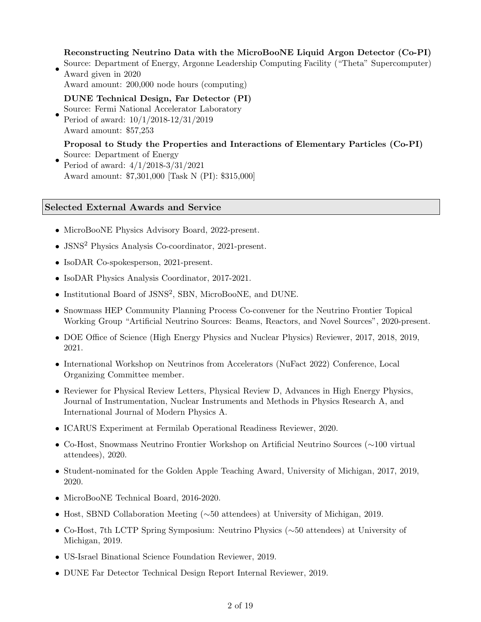## Reconstructing Neutrino Data with the MicroBooNE Liquid Argon Detector (Co-PI)

- Source: Department of Energy, Argonne Leadership Computing Facility ("Theta" Supercomputer) Award given in 2020
	- Award amount: 200,000 node hours (computing)

### DUNE Technical Design, Far Detector (PI)

• Source: Fermi National Accelerator Laboratory Period of award: 10/1/2018-12/31/2019 Award amount: \$57,253

### Proposal to Study the Properties and Interactions of Elementary Particles (Co-PI) Source: Department of Energy

• Period of award: 4/1/2018-3/31/2021 Award amount: \$7,301,000 [Task N (PI): \$315,000]

### Selected External Awards and Service

- MicroBooNE Physics Advisory Board, 2022-present.
- JSNS<sup>2</sup> Physics Analysis Co-coordinator, 2021-present.
- IsoDAR Co-spokesperson, 2021-present.
- IsoDAR Physics Analysis Coordinator, 2017-2021.
- Institutional Board of JSNS<sup>2</sup> , SBN, MicroBooNE, and DUNE.
- Snowmass HEP Community Planning Process Co-convener for the Neutrino Frontier Topical Working Group "Artificial Neutrino Sources: Beams, Reactors, and Novel Sources", 2020-present.
- DOE Office of Science (High Energy Physics and Nuclear Physics) Reviewer, 2017, 2018, 2019, 2021.
- International Workshop on Neutrinos from Accelerators (NuFact 2022) Conference, Local Organizing Committee member.
- Reviewer for Physical Review Letters, Physical Review D, Advances in High Energy Physics, Journal of Instrumentation, Nuclear Instruments and Methods in Physics Research A, and International Journal of Modern Physics A.
- ICARUS Experiment at Fermilab Operational Readiness Reviewer, 2020.
- Co-Host, Snowmass Neutrino Frontier Workshop on Artificial Neutrino Sources (∼100 virtual attendees), 2020.
- Student-nominated for the Golden Apple Teaching Award, University of Michigan, 2017, 2019, 2020.
- MicroBooNE Technical Board, 2016-2020.
- Host, SBND Collaboration Meeting (∼50 attendees) at University of Michigan, 2019.
- Co-Host, 7th LCTP Spring Symposium: Neutrino Physics (∼50 attendees) at University of Michigan, 2019.
- US-Israel Binational Science Foundation Reviewer, 2019.
- DUNE Far Detector Technical Design Report Internal Reviewer, 2019.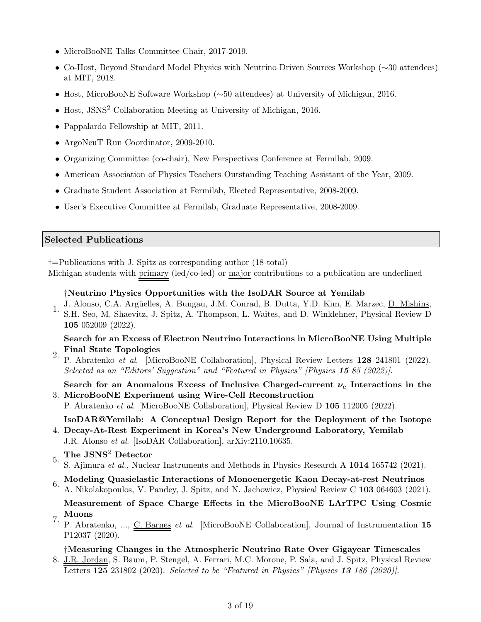- MicroBooNE Talks Committee Chair, 2017-2019.
- Co-Host, Beyond Standard Model Physics with Neutrino Driven Sources Workshop (∼30 attendees) at MIT, 2018.
- Host, MicroBooNE Software Workshop (∼50 attendees) at University of Michigan, 2016.
- Host, JSNS<sup>2</sup> Collaboration Meeting at University of Michigan, 2016.
- Pappalardo Fellowship at MIT, 2011.
- ArgoNeuT Run Coordinator, 2009-2010.
- Organizing Committee (co-chair), New Perspectives Conference at Fermilab, 2009.
- American Association of Physics Teachers Outstanding Teaching Assistant of the Year, 2009.
- Graduate Student Association at Fermilab, Elected Representative, 2008-2009.
- User's Executive Committee at Fermilab, Graduate Representative, 2008-2009.

### Selected Publications

†=Publications with J. Spitz as corresponding author (18 total)

Michigan students with primary (led/co-led) or major contributions to a publication are underlined

### †Neutrino Physics Opportunities with the IsoDAR Source at Yemilab

- J. Alonso, C.A. Argüelles, A. Bungau, J.M. Conrad, B. Dutta, Y.D. Kim, E. Marzec, D. Mishins,
- 1. S.H. Seo, M. Shaevitz, J. Spitz, A. Thompson, L. Waites, and D. Winklehner, Physical Review D 105 052009 (2022).

### Search for an Excess of Electron Neutrino Interactions in MicroBooNE Using Multiple Final State Topologies

2. P. Abratenko et al. [MicroBooNE Collaboration], Physical Review Letters 128 241801 (2022). Selected as an "Editors' Suggestion" and "Featured in Physics" [Physics 15 85 (2022)].

3. MicroBooNE Experiment using Wire-Cell Reconstruction Search for an Anomalous Excess of Inclusive Charged-current  $\nu_e$  Interactions in the

P. Abratenko et al. [MicroBooNE Collaboration], Physical Review D 105 112005 (2022).

4. Decay-At-Rest Experiment in Korea's New Underground Laboratory, Yemilab IsoDAR@Yemilab: A Conceptual Design Report for the Deployment of the Isotope

- J.R. Alonso et al. [IsoDAR Collaboration], arXiv:2110.10635.
- 5. The JSNS<sup>2</sup> Detector

S. Ajimura et al., Nuclear Instruments and Methods in Physics Research A 1014 165742 (2021).

 $6.$  Modeling Quasielastic Interactions of Monoenergetic Kaon Decay-at-rest Neutrinos A. Nikolakopoulos, V. Pandey, J. Spitz, and N. Jachowicz, Physical Review C 103 064603 (2021).

Measurement of Space Charge Effects in the MicroBooNE LArTPC Using Cosmic Muons

7. P. Abratenko, ..., C. Barnes *et al.* [MicroBooNE Collaboration], Journal of Instrumentation 15 P12037 (2020).

### †Measuring Changes in the Atmospheric Neutrino Rate Over Gigayear Timescales

8. J.R. Jordan, S. Baum, P. Stengel, A. Ferrari, M.C. Morone, P. Sala, and J. Spitz, Physical Review Letters 125 231802 (2020). Selected to be "Featured in Physics" [Physics 13 186 (2020)].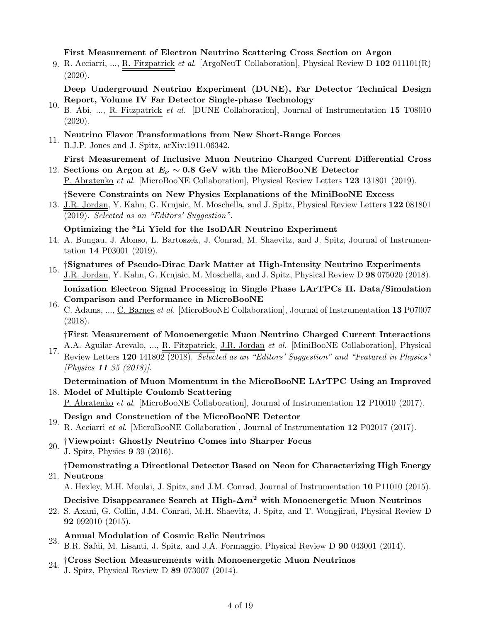### First Measurement of Electron Neutrino Scattering Cross Section on Argon

9. R. Acciarri, ..., <u>R. Fitzpatrick</u> et al. [ArgoNeuT Collaboration], Physical Review D 102 011101(R) (2020).

## Deep Underground Neutrino Experiment (DUNE), Far Detector Technical Design Report, Volume IV Far Detector Single-phase Technology

10. B. Abi, ..., R. Fitzpatrick et al. [DUNE Collaboration], Journal of Instrumentation 15 T08010 (2020).

# 11. Neutrino Flavor Transformations from New Short-Range Forces

B.J.P. Jones and J. Spitz, arXiv:1911.06342.

# 12. Sections on Argon at  $E_{\nu} \sim 0.8$  GeV with the MicroBooNE Detector First Measurement of Inclusive Muon Neutrino Charged Current Differential Cross

P. Abratenko et al. [MicroBooNE Collaboration], Physical Review Letters 123 131801 (2019).

# †Severe Constraints on New Physics Explanations of the MiniBooNE Excess

13. J.R. Jordan, Y. Kahn, G. Krnjaic, M. Moschella, and J. Spitz, Physical Review Letters 122 081801 (2019). Selected as an "Editors' Suggestion".

Optimizing the <sup>8</sup>Li Yield for the IsoDAR Neutrino Experiment

14. A. Bungau, J. Alonso, L. Bartoszek, J. Conrad, M. Shaevitz, and J. Spitz, Journal of Instrumentation 14 P03001 (2019).

# 15. †Signatures of Pseudo-Dirac Dark Matter at High-Intensity Neutrino Experiments J.R. Jordan, Y. Kahn, G. Krnjaic, M. Moschella, and J. Spitz, Physical Review D 98 075020 (2018).

Ionization Electron Signal Processing in Single Phase LArTPCs II. Data/Simulation Comparison and Performance in MicroBooNE

16. C. Adams, ..., C. Barnes et al. [MicroBooNE Collaboration], Journal of Instrumentation 13 P07007 (2018).

†First Measurement of Monoenergetic Muon Neutrino Charged Current Interactions

17. A.A. Aguilar-Arevalo, ..., R. Fitzpatrick, J.R. Jordan et al. [MiniBooNE Collaboration], Physical 17.  $R = 120.141899 \sqrt{20192 \times 611}$ Review Letters 120 141802 (2018). Selected as an "Editors' Suggestion" and "Featured in Physics" [Physics 11 35 (2018)].

## 18. Model of Multiple Coulomb Scattering Determination of Muon Momentum in the MicroBooNE LArTPC Using an Improved

P. Abratenko et al. [MicroBooNE Collaboration], Journal of Instrumentation 12 P10010 (2017).

- 19. Design and Construction of the MicroBooNE Detector R. Acciarri et al. [MicroBooNE Collaboration], Journal of Instrumentation 12 P02017 (2017).
- 20. †Viewpoint: Ghostly Neutrino Comes into Sharper Focus J. Spitz, Physics 9 39 (2016).

# 21. Neutrons †Demonstrating a Directional Detector Based on Neon for Characterizing High Energy

A. Hexley, M.H. Moulai, J. Spitz, and J.M. Conrad, Journal of Instrumentation 10 P11010 (2015).

## Decisive Disappearance Search at High- $\Delta m^2$  with Monoenergetic Muon Neutrinos

- 22. S. Axani, G. Collin, J.M. Conrad, M.H. Shaevitz, J. Spitz, and T. Wongjirad, Physical Review D 92 092010 (2015).
- 23. Annual Modulation of Cosmic Relic Neutrinos B.R. Safdi, M. Lisanti, J. Spitz, and J.A. Formaggio, Physical Review D 90 043001 (2014).
- $24.$  †Cross Section Measurements with Monoenergetic Muon Neutrinos
- J. Spitz, Physical Review D 89 073007 (2014).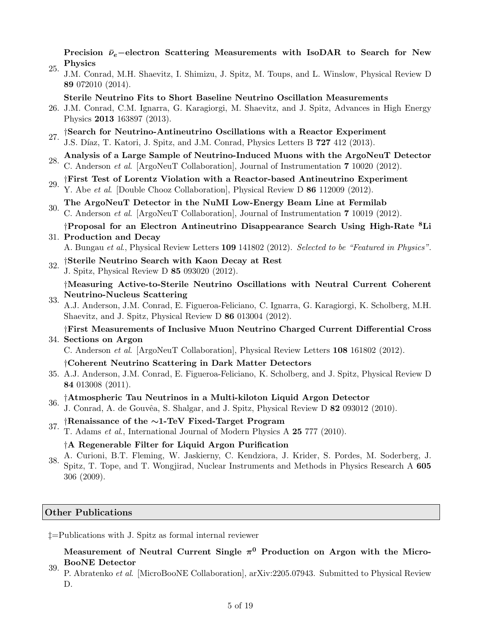Precision  $\bar{\nu}_e$ –electron Scattering Measurements with IsoDAR to Search for New Physics

25. J.M. Conrad, M.H. Shaevitz, I. Shimizu, J. Spitz, M. Toups, and L. Winslow, Physical Review D 89 072010 (2014).

Sterile Neutrino Fits to Short Baseline Neutrino Oscillation Measurements

- 26. J.M. Conrad, C.M. Ignarra, G. Karagiorgi, M. Shaevitz, and J. Spitz, Advances in High Energy Physics 2013 163897 (2013).
- <sup>27.</sup> †Search for Neutrino-Antineutrino Oscillations with a Reactor Experiment J.S. Díaz, T. Katori, J. Spitz, and J.M. Conrad, Physics Letters B 727 412 (2013).
- 28. Analysis of a Large Sample of Neutrino-Induced Muons with the ArgoNeuT Detector C. Anderson et al. [ArgoNeuT Collaboration], Journal of Instrumentation 7 10020 (2012).
- 29. †First Test of Lorentz Violation with a Reactor-based Antineutrino Experiment Y. Abe et al. [Double Chooz Collaboration], Physical Review D 86 112009 (2012).
- 30. The ArgoNeuT Detector in the NuMI Low-Energy Beam Line at Fermilab C. Anderson et al. [ArgoNeuT Collaboration], Journal of Instrumentation 7 10019 (2012).

### 31. Production and Decay †Proposal for an Electron Antineutrino Disappearance Search Using High-Rate <sup>8</sup>Li

A. Bungau et al., Physical Review Letters 109 141802 (2012). Selected to be "Featured in Physics".

 $32.$  †Sterile Neutrino Search with Kaon Decay at Rest J. Spitz, Physical Review D 85 093020 (2012).

33. †Measuring Active-to-Sterile Neutrino Oscillations with Neutral Current Coherent Neutrino-Nucleus Scattering

A.J. Anderson, J.M. Conrad, E. Figueroa-Feliciano, C. Ignarra, G. Karagiorgi, K. Scholberg, M.H. Shaevitz, and J. Spitz, Physical Review D 86 013004 (2012).

34. Sections on Argon †First Measurements of Inclusive Muon Neutrino Charged Current Differential Cross

C. Anderson et al. [ArgoNeuT Collaboration], Physical Review Letters 108 161802 (2012).

- †Coherent Neutrino Scattering in Dark Matter Detectors
- 35. A.J. Anderson, J.M. Conrad, E. Figueroa-Feliciano, K. Scholberg, and J. Spitz, Physical Review D 84 013008 (2011).

# 36. †Atmospheric Tau Neutrinos in a Multi-kiloton Liquid Argon Detector

- J. Conrad, A. de Gouvêa, S. Shalgar, and J. Spitz, Physical Review D 82 093012 (2010).
- 37. †Renaissance of the <sup>∼</sup>1-TeV Fixed-Target Program
- T. Adams et al., International Journal of Modern Physics A 25 777 (2010).

### †A Regenerable Filter for Liquid Argon Purification

38. A. Curioni, B.T. Fleming, W. Jaskierny, C. Kendziora, J. Krider, S. Pordes, M. Soderberg, J. Spitz, T. Tope, and T. Wongjirad, Nuclear Instruments and Methods in Physics Research A 605 306 (2009).

#### Other Publications

‡=Publications with J. Spitz as formal internal reviewer

## Measurement of Neutral Current Single  $\pi^0$  Production on Argon with the Micro-BooNE Detector

39. P. Abratenko et al. [MicroBooNE Collaboration], arXiv:2205.07943. Submitted to Physical Review D.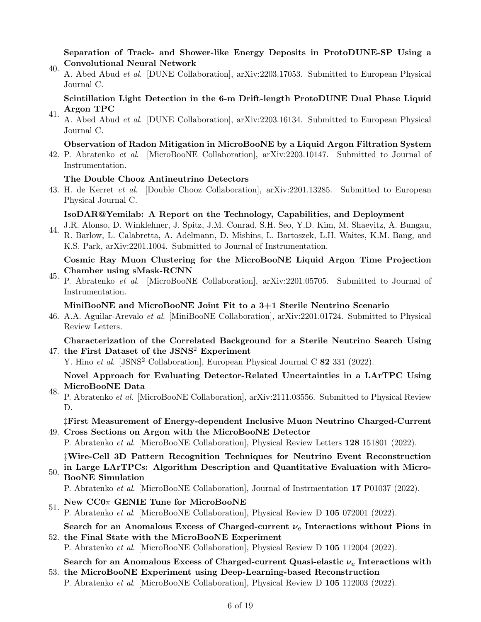### Separation of Track- and Shower-like Energy Deposits in ProtoDUNE-SP Using a Convolutional Neural Network

40. A. Abed Abud et al. [DUNE Collaboration], arXiv:2203.17053. Submitted to European Physical Journal C.

Scintillation Light Detection in the 6-m Drift-length ProtoDUNE Dual Phase Liquid Argon TPC

41. A. Abed Abud et al. [DUNE Collaboration], arXiv:2203.16134. Submitted to European Physical Journal C.

### Observation of Radon Mitigation in MicroBooNE by a Liquid Argon Filtration System

42. P. Abratenko et al. [MicroBooNE Collaboration], arXiv:2203.10147. Submitted to Journal of Instrumentation.

### The Double Chooz Antineutrino Detectors

43. H. de Kerret *et al.* [Double Chooz Collaboration], arXiv:2201.13285. Submitted to European Physical Journal C.

### IsoDAR@Yemilab: A Report on the Technology, Capabilities, and Deployment

44. J.R. Alonso, D. Winklehner, J. Spitz, J.M. Conrad, S.H. Seo, Y.D. Kim, M. Shaevitz, A. Bungau, R. Barlow, L. Calabretta, A. Adelmann, D. Mishins, L. Bartoszek, L.H. Waites, K.M. Bang, and K.S. Park, arXiv:2201.1004. Submitted to Journal of Instrumentation.

### Cosmic Ray Muon Clustering for the MicroBooNE Liquid Argon Time Projection Chamber using sMask-RCNN

45. P. Abratenko et al. [MicroBooNE Collaboration], arXiv:2201.05705. Submitted to Journal of Instrumentation.

### MiniBooNE and MicroBooNE Joint Fit to a 3+1 Sterile Neutrino Scenario

46. A.A. Aguilar-Arevalo et al. [MiniBooNE Collaboration], arXiv:2201.01724. Submitted to Physical Review Letters.

## 47. the First Dataset of the JSNS<sup>2</sup> Experiment Characterization of the Correlated Background for a Sterile Neutrino Search Using

Y. Hino et al. [JSNS<sup>2</sup> Collaboration], European Physical Journal C 82 331 (2022).

### Novel Approach for Evaluating Detector-Related Uncertainties in a LArTPC Using MicroBooNE Data

48. P. Abratenko et al. [MicroBooNE Collaboration], arXiv:2111.03556. Submitted to Physical Review D.

‡First Measurement of Energy-dependent Inclusive Muon Neutrino Charged-Current

49. Cross Sections on Argon with the MicroBooNE Detector P. Abratenko et al. [MicroBooNE Collaboration], Physical Review Letters 128 151801 (2022).

‡Wire-Cell 3D Pattern Recognition Techniques for Neutrino Event Reconstruction in Large LArTPCs: Algorithm Description and Quantitative Evaluation with Micro-

# 50. BooNE Simulation

P. Abratenko et al. [MicroBooNE Collaboration], Journal of Instrmentation 17 P01037 (2022).

# 51. New  $CC0\pi$  GENIE Tune for MicroBooNE

P. Abratenko et al. [MicroBooNE Collaboration], Physical Review D 105 072001 (2022).

52. the Final State with the MicroBooNE Experiment Search for an Anomalous Excess of Charged-current  $\nu_e$  Interactions without Pions in

P. Abratenko et al. [MicroBooNE Collaboration], Physical Review D 105 112004 (2022).

Search for an Anomalous Excess of Charged-current Quasi-elastic  $\nu_e$  Interactions with

53. the MicroBooNE Experiment using Deep-Learning-based Reconstruction P. Abratenko et al. [MicroBooNE Collaboration], Physical Review D 105 112003 (2022).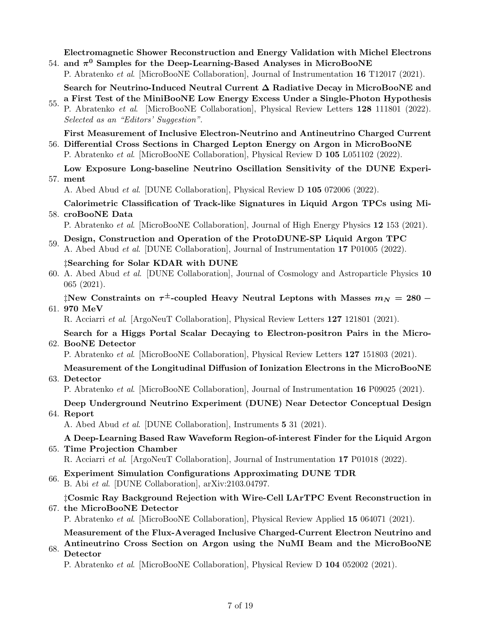54. and  $\pi^0$  Samples for the Deep-Learning-Based Analyses in MicroBooNE Electromagnetic Shower Reconstruction and Energy Validation with Michel Electrons

P. Abratenko et al. [MicroBooNE Collaboration], Journal of Instrumentation 16 T12017 (2021).

Search for Neutrino-Induced Neutral Current ∆ Radiative Decay in MicroBooNE and a First Test of the MiniBooNE Low Energy Excess Under a Single-Photon Hypothesis

55. P. Abratenko et al. [MicroBooNE Collaboration], Physical Review Letters 128 111801 (2022). Selected as an "Editors' Suggestion".

56. Differential Cross Sections in Charged Lepton Energy on Argon in MicroBooNE First Measurement of Inclusive Electron-Neutrino and Antineutrino Charged Current

P. Abratenko et al. [MicroBooNE Collaboration], Physical Review D 105 L051102 (2022).

A. Abed Abud et al. [DUNE Collaboration], Physical Review D 105 072006 (2022).

58. croBooNE Data Calorimetric Classification of Track-like Signatures in Liquid Argon TPCs using Mi-

P. Abratenko et al. [MicroBooNE Collaboration], Journal of High Energy Physics 12 153 (2021).

- 59. Design, Construction and Operation of the ProtoDUNE-SP Liquid Argon TPC
- A. Abed Abud et al. [DUNE Collaboration], Journal of Instrumentation 17 P01005 (2022). ‡Searching for Solar KDAR with DUNE
- 60. A. Abed Abud *et al.* [DUNE Collaboration], Journal of Cosmology and Astroparticle Physics 10 065 (2021).

61. 970 MeV  $\ddagger$ New Constraints on  $\tau^\pm$ -coupled Heavy Neutral Leptons with Masses  $m_N = 280$  –

R. Acciarri et al. [ArgoNeuT Collaboration], Physical Review Letters 127 121801 (2021).

62. BooNE Detector Search for a Higgs Portal Scalar Decaying to Electron-positron Pairs in the Micro-

P. Abratenko et al. [MicroBooNE Collaboration], Physical Review Letters 127 151803 (2021).

# Measurement of the Longitudinal Diffusion of Ionization Electrons in the MicroBooNE

63. Detector

P. Abratenko et al. [MicroBooNE Collaboration], Journal of Instrumentation 16 P09025 (2021).

64. Report Deep Underground Neutrino Experiment (DUNE) Near Detector Conceptual Design

A. Abed Abud et al. [DUNE Collaboration], Instruments 5 31 (2021).

## 65. Time Projection Chamber A Deep-Learning Based Raw Waveform Region-of-interest Finder for the Liquid Argon

R. Acciarri et al. [ArgoNeuT Collaboration], Journal of Instrumentation 17 P01018 (2022).

- 66. Experiment Simulation Configurations Approximating DUNE TDR
- B. Abi et al. [DUNE Collaboration], arXiv:2103.04797.

## 67. the MicroBooNE Detector ‡Cosmic Ray Background Rejection with Wire-Cell LArTPC Event Reconstruction in

P. Abratenko et al. [MicroBooNE Collaboration], Physical Review Applied 15 064071 (2021).

Measurement of the Flux-Averaged Inclusive Charged-Current Electron Neutrino and Antineutrino Cross Section on Argon using the NuMI Beam and the MicroBooNE

68. Detector

P. Abratenko et al. [MicroBooNE Collaboration], Physical Review D 104 052002 (2021).

<sup>57.</sup> ment Low Exposure Long-baseline Neutrino Oscillation Sensitivity of the DUNE Experi-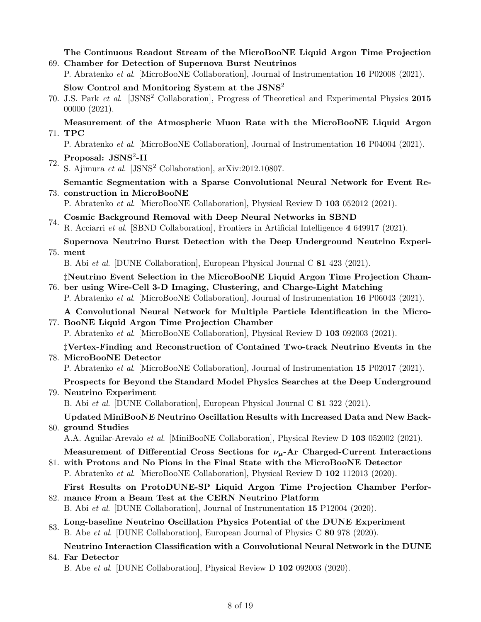## 69. Chamber for Detection of Supernova Burst Neutrinos The Continuous Readout Stream of the MicroBooNE Liquid Argon Time Projection

P. Abratenko et al. [MicroBooNE Collaboration], Journal of Instrumentation 16 P02008 (2021).

Slow Control and Monitoring System at the JSNS<sup>2</sup>

70. J.S. Park et al. [JSNS<sup>2</sup> Collaboration], Progress of Theoretical and Experimental Physics 2015 00000 (2021).

## 71. TPC Measurement of the Atmospheric Muon Rate with the MicroBooNE Liquid Argon

P. Abratenko et al. [MicroBooNE Collaboration], Journal of Instrumentation 16 P04004 (2021).

# $72.$  Proposal: JSNS<sup>2</sup>-II

- S. Ajimura et al. [JSNS<sup>2</sup> Collaboration], arXiv:2012.10807.
- 73. construction in MicroBooNE Semantic Segmentation with a Sparse Convolutional Neural Network for Event Re-

P. Abratenko et al. [MicroBooNE Collaboration], Physical Review D 103 052012 (2021).

74. Cosmic Background Removal with Deep Neural Networks in SBND

R. Acciarri et al. [SBND Collaboration], Frontiers in Artificial Intelligence 4 649917 (2021).

75. ment Supernova Neutrino Burst Detection with the Deep Underground Neutrino Experi-

B. Abi et al. [DUNE Collaboration], European Physical Journal C 81 423 (2021).

76. ber using Wire-Cell 3-D Imaging, Clustering, and Charge-Light Matching ‡Neutrino Event Selection in the MicroBooNE Liquid Argon Time Projection Cham-

P. Abratenko et al. [MicroBooNE Collaboration], Journal of Instrumentation 16 P06043 (2021).

# 77. BooNE Liquid Argon Time Projection Chamber A Convolutional Neural Network for Multiple Particle Identification in the Micro-

P. Abratenko et al. [MicroBooNE Collaboration], Physical Review D 103 092003 (2021).

## 78. MicroBooNE Detector ‡Vertex-Finding and Reconstruction of Contained Two-track Neutrino Events in the

P. Abratenko et al. [MicroBooNE Collaboration], Journal of Instrumentation 15 P02017 (2021).

# Prospects for Beyond the Standard Model Physics Searches at the Deep Underground

### 79. Neutrino Experiment

B. Abi et al. [DUNE Collaboration], European Physical Journal C 81 322 (2021).

# 80. ground Studies Updated MiniBooNE Neutrino Oscillation Results with Increased Data and New Back-

A.A. Aguilar-Arevalo et al. [MiniBooNE Collaboration], Physical Review D 103 052002 (2021).

# Measurement of Differential Cross Sections for  $\nu_\mu$ -Ar Charged-Current Interactions

81. with Protons and No Pions in the Final State with the MicroBooNE Detector P. Abratenko et al. [MicroBooNE Collaboration], Physical Review D 102 112013 (2020).

### 82. mance From a Beam Test at the CERN Neutrino Platform First Results on ProtoDUNE-SP Liquid Argon Time Projection Chamber Perfor-

B. Abi et al. [DUNE Collaboration], Journal of Instrumentation 15 P12004 (2020).

## 83. Long-baseline Neutrino Oscillation Physics Potential of the DUNE Experiment B. Abe et al. [DUNE Collaboration], European Journal of Physics C 80 978 (2020).

# 84. Far Detector Neutrino Interaction Classification with a Convolutional Neural Network in the DUNE

B. Abe et al. [DUNE Collaboration], Physical Review D 102 092003 (2020).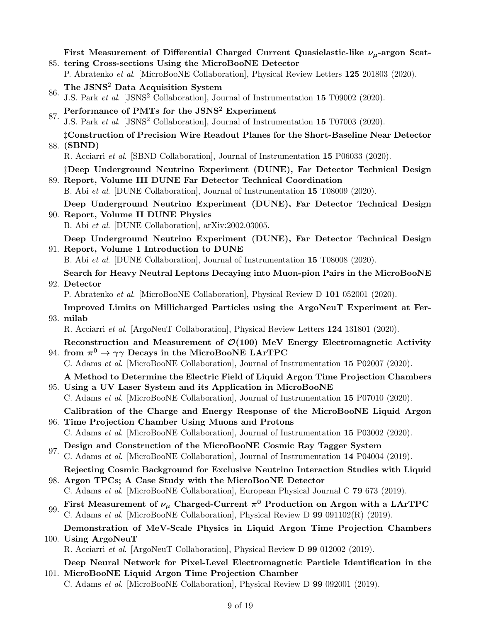85. tering Cross-sections Using the MicroBooNE Detector First Measurement of Differential Charged Current Quasielastic-like  $\nu_{\mu}$ -argon Scat-

- P. Abratenko et al. [MicroBooNE Collaboration], Physical Review Letters 125 201803 (2020).
- 86. The JSNS<sup>2</sup> Data Acquisition System J.S. Park et al. [JSNS<sup>2</sup> Collaboration], Journal of Instrumentation 15 T09002 (2020).
- 87. Performance of PMTs for the JSNS<sup>2</sup> Experiment
- J.S. Park et al. [JSNS<sup>2</sup> Collaboration], Journal of Instrumentation 15 T07003 (2020).

88. (SBND) ‡Construction of Precision Wire Readout Planes for the Short-Baseline Near Detector

R. Acciarri et al. [SBND Collaboration], Journal of Instrumentation 15 P06033 (2020).

89. Report, Volume III DUNE Far Detector Technical Coordination ‡Deep Underground Neutrino Experiment (DUNE), Far Detector Technical Design

B. Abi et al. [DUNE Collaboration], Journal of Instrumentation 15 T08009 (2020).

90. Report, Volume II DUNE Physics Deep Underground Neutrino Experiment (DUNE), Far Detector Technical Design

B. Abi et al. [DUNE Collaboration], arXiv:2002.03005.

91. Report, Volume 1 Introduction to DUNE Deep Underground Neutrino Experiment (DUNE), Far Detector Technical Design

B. Abi et al. [DUNE Collaboration], Journal of Instrumentation 15 T08008 (2020).

92. Detector Search for Heavy Neutral Leptons Decaying into Muon-pion Pairs in the MicroBooNE

P. Abratenko et al. [MicroBooNE Collaboration], Physical Review D 101 052001 (2020).

93. milab Improved Limits on Millicharged Particles using the ArgoNeuT Experiment at Fer-

R. Acciarri et al. [ArgoNeuT Collaboration], Physical Review Letters 124 131801 (2020).

94. from  $\pi^0 \to \gamma \gamma$  Decays in the MicroBooNE LArTPC Reconstruction and Measurement of  $\mathcal{O}(100)$  MeV Energy Electromagnetic Activity

C. Adams et al. [MicroBooNE Collaboration], Journal of Instrumentation 15 P02007 (2020).

# 95. Using a UV Laser System and its Application in MicroBooNE A Method to Determine the Electric Field of Liquid Argon Time Projection Chambers

C. Adams et al. [MicroBooNE Collaboration], Journal of Instrumentation 15 P07010 (2020).

96. Time Projection Chamber Using Muons and Protons Calibration of the Charge and Energy Response of the MicroBooNE Liquid Argon

C. Adams et al. [MicroBooNE Collaboration], Journal of Instrumentation 15 P03002 (2020).

97. Design and Construction of the MicroBooNE Cosmic Ray Tagger System C. Adams et al. [MicroBooNE Collaboration], Journal of Instrumentation 14 P04004 (2019).

98. Argon TPCs; A Case Study with the MicroBooNE Detector Rejecting Cosmic Background for Exclusive Neutrino Interaction Studies with Liquid

C. Adams et al. [MicroBooNE Collaboration], European Physical Journal C 79 673 (2019).

99. First Measurement of  $\nu_{\mu}$  Charged-Current  $\pi^0$  Production on Argon with a LArTPC C. Adams et al. [MicroBooNE Collaboration], Physical Review D 99 091102(R) (2019).

100. Using ArgoNeuT Demonstration of MeV-Scale Physics in Liquid Argon Time Projection Chambers

R. Acciarri et al. [ArgoNeuT Collaboration], Physical Review D 99 012002 (2019).

101. MicroBooNE Liquid Argon Time Projection Chamber Deep Neural Network for Pixel-Level Electromagnetic Particle Identification in the

C. Adams et al. [MicroBooNE Collaboration], Physical Review D 99 092001 (2019).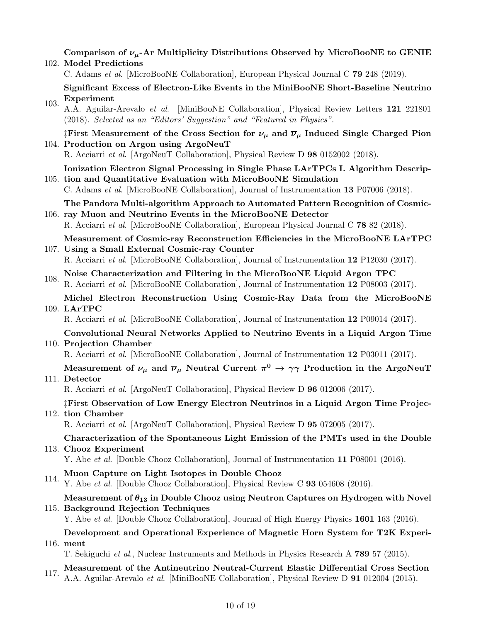102. Model Predictions Comparison of  $\nu_{\mu}$ -Ar Multiplicity Distributions Observed by MicroBooNE to GENIE

C. Adams et al. [MicroBooNE Collaboration], European Physical Journal C 79 248 (2019).

Significant Excess of Electron-Like Events in the MiniBooNE Short-Baseline Neutrino Experiment

103. A.A. Aguilar-Arevalo et al. [MiniBooNE Collaboration], Physical Review Letters 121 221801 (2018). Selected as an "Editors' Suggestion" and "Featured in Physics".

104. Production on Argon using ArgoNeuT <sup>†</sup>First Measurement of the Cross Section for  $\nu_{\mu}$  and  $\overline{\nu}_{\mu}$  Induced Single Charged Pion

R. Acciarri et al. [ArgoNeuT Collaboration], Physical Review D 98 0152002 (2018).

105. tion and Quantitative Evaluation with MicroBooNE Simulation Ionization Electron Signal Processing in Single Phase LArTPCs I. Algorithm Descrip-

C. Adams et al. [MicroBooNE Collaboration], Journal of Instrumentation 13 P07006 (2018).

106. ray Muon and Neutrino Events in the MicroBooNE Detector The Pandora Multi-algorithm Approach to Automated Pattern Recognition of Cosmic-

R. Acciarri et al. [MicroBooNE Collaboration], European Physical Journal C 78 82 (2018).

107. Using a Small External Cosmic-ray Counter Measurement of Cosmic-ray Reconstruction Efficiencies in the MicroBooNE LArTPC

R. Acciarri et al. [MicroBooNE Collaboration], Journal of Instrumentation 12 P12030 (2017).

- 108. Noise Characterization and Filtering in the MicroBooNE Liquid Argon TPC R. Acciarri et al. [MicroBooNE Collaboration], Journal of Instrumentation 12 P08003 (2017).
- 109. LArTPC Michel Electron Reconstruction Using Cosmic-Ray Data from the MicroBooNE

R. Acciarri et al. [MicroBooNE Collaboration], Journal of Instrumentation 12 P09014 (2017).

# 110. Projection Chamber Convolutional Neural Networks Applied to Neutrino Events in a Liquid Argon Time

R. Acciarri et al. [MicroBooNE Collaboration], Journal of Instrumentation 12 P03011 (2017).

# Measurement of  $\nu_\mu$  and  $\overline{\nu}_\mu$  Neutral Current  $\pi^0\to\gamma\gamma$  Production in the ArgoNeuT

### 111. Detector

R. Acciarri et al. [ArgoNeuT Collaboration], Physical Review D 96 012006 (2017).

# 112. tion Chamber ‡First Observation of Low Energy Electron Neutrinos in a Liquid Argon Time Projec-

R. Acciarri et al. [ArgoNeuT Collaboration], Physical Review D 95 072005 (2017).

# 113. Chooz Experiment Characterization of the Spontaneous Light Emission of the PMTs used in the Double

Y. Abe et al. [Double Chooz Collaboration], Journal of Instrumentation 11 P08001 (2016).

- 
- 114. Muon Capture on Light Isotopes in Double Chooz<br>
Y. Abe et al. [Double Chooz Collaboration], Physical Review C 93 054608 (2016).

# 115. Background Rejection Techniques Measurement of  $\theta_{13}$  in Double Chooz using Neutron Captures on Hydrogen with Novel

Y. Abe et al. [Double Chooz Collaboration], Journal of High Energy Physics 1601 163 (2016).

# 116. ment Development and Operational Experience of Magnetic Horn System for T2K Experi-

T. Sekiguchi et al., Nuclear Instruments and Methods in Physics Research A 789 57 (2015).

117. Measurement of the Antineutrino Neutral-Current Elastic Differential Cross Section A.A. Aguilar-Arevalo et al. [MiniBooNE Collaboration], Physical Review D 91 012004 (2015).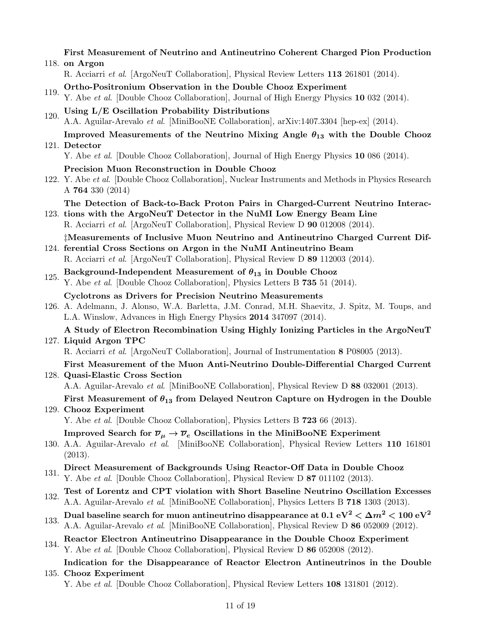|      | First Measurement of Neutrino and Antineutrino Coherent Charged Pion Production                                                                                                                                                               |
|------|-----------------------------------------------------------------------------------------------------------------------------------------------------------------------------------------------------------------------------------------------|
|      | 118. on Argon                                                                                                                                                                                                                                 |
|      | R. Acciarri et al. [ArgoNeuT Collaboration], Physical Review Letters 113 261801 (2014).                                                                                                                                                       |
| 119. | Ortho-Positronium Observation in the Double Chooz Experiment<br>Y. Abe et al. [Double Chooz Collaboration], Journal of High Energy Physics 10 032 (2014).                                                                                     |
| 120. | Using L/E Oscillation Probability Distributions<br>A.A. Aguilar-Arevalo et al. [MiniBooNE Collaboration], arXiv:1407.3304 [hep-ex] (2014).                                                                                                    |
|      | Improved Measurements of the Neutrino Mixing Angle $\theta_{13}$ with the Double Chooz<br>121. Detector<br>Y. Abe et al. [Double Chooz Collaboration], Journal of High Energy Physics 10 086 (2014).                                          |
|      | Precision Muon Reconstruction in Double Chooz                                                                                                                                                                                                 |
|      | 122. Y. Abe et al. [Double Chooz Collaboration], Nuclear Instruments and Methods in Physics Research<br>A 764 330 $(2014)$                                                                                                                    |
|      | The Detection of Back-to-Back Proton Pairs in Charged-Current Neutrino Interac-<br>123. tions with the ArgoNeuT Detector in the NuMI Low Energy Beam Line<br>R. Acciarri et al. [ArgoNeuT Collaboration], Physical Review D 90 012008 (2014). |
|      | #Measurements of Inclusive Muon Neutrino and Antineutrino Charged Current Dif-<br>124. ferential Cross Sections on Argon in the NuMI Antineutrino Beam<br>R. Acciarri et al. [ArgoNeuT Collaboration], Physical Review D 89 112003 (2014).    |
| 125. | Background-Independent Measurement of $\theta_{13}$ in Double Chooz<br>Y. Abe et al. [Double Chooz Collaboration], Physics Letters B 735 51 (2014).                                                                                           |
|      | Cyclotrons as Drivers for Precision Neutrino Measurements<br>126. A. Adelmann, J. Alonso, W.A. Barletta, J.M. Conrad, M.H. Shaevitz, J. Spitz, M. Toups, and<br>L.A. Winslow, Advances in High Energy Physics 2014 347097 (2014).             |
|      | A Study of Electron Recombination Using Highly Ionizing Particles in the ArgoNeuT<br>127. Liquid Argon TPC<br>R. Acciarri et al. [ArgoNeuT Collaboration], Journal of Instrumentation 8 P08005 (2013).                                        |
|      | First Measurement of the Muon Anti-Neutrino Double-Differential Charged Current                                                                                                                                                               |
|      | 128. Quasi-Elastic Cross Section                                                                                                                                                                                                              |
|      | A.A. Aguilar-Arevalo et al. [MiniBooNE Collaboration], Physical Review D 88 032001 (2013).                                                                                                                                                    |
|      | First Measurement of $\theta_{13}$ from Delayed Neutron Capture on Hydrogen in the Double<br>129. Chooz Experiment                                                                                                                            |
|      | Y. Abe et al. Double Chooz Collaboration, Physics Letters B 723 66 (2013).                                                                                                                                                                    |
|      | Improved Search for $\overline{\nu}_{\mu} \rightarrow \overline{\nu}_{e}$ Oscillations in the MiniBooNE Experiment<br>130. A.A. Aguilar-Arevalo et al. [MiniBooNE Collaboration], Physical Review Letters 110 161801<br>(2013).               |
| 131. | Direct Measurement of Backgrounds Using Reactor-Off Data in Double Chooz<br>Y. Abe et al. [Double Chooz Collaboration], Physical Review D 87 011102 (2013).                                                                                   |
| 132. | Test of Lorentz and CPT violation with Short Baseline Neutrino Oscillation Excesses<br>A.A. Aguilar-Arevalo <i>et al.</i> [MiniBooNE Collaboration], Physics Letters B 718 1303 (2013).                                                       |
| 133. | Dual baseline search for muon antineutrino disappearance at 0.1 eV <sup>2</sup> $<$ $\Delta m^2$ $<$ 100 eV <sup>2</sup><br>A.A. Aguilar-Arevalo et al. [MiniBooNE Collaboration], Physical Review D 86 052009 (2012).                        |
| 134. | Reactor Electron Antineutrino Disappearance in the Double Chooz Experiment<br>Y. Abe et al. [Double Chooz Collaboration], Physical Review D 86 052008 (2012).                                                                                 |
|      | Indication for the Disappearance of Reactor Electron Antineutrinos in the Double                                                                                                                                                              |

# 135. Chooz Experiment Y. Abe et al. [Double Chooz Collaboration], Physical Review Letters 108 131801 (2012).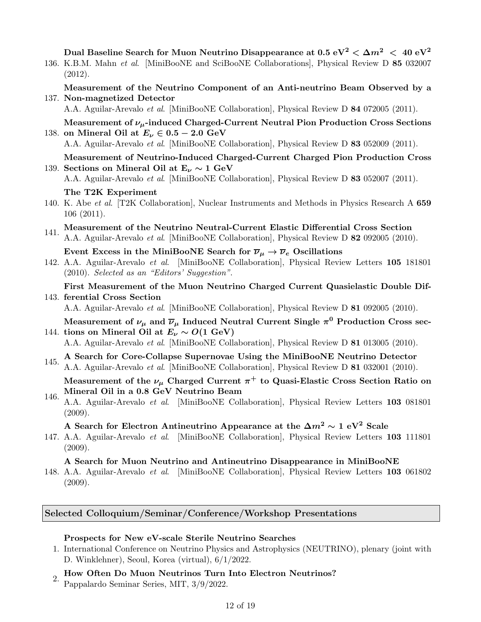Dual Baseline Search for Muon Neutrino Disappearance at  $0.5 \text{ eV}^2 < \Delta m^2 < 40 \text{ eV}^2$ 

136. K.B.M. Mahn et al. [MiniBooNE and SciBooNE Collaborations], Physical Review D 85 032007 (2012).

137. Non-magnetized Detector Measurement of the Neutrino Component of an Anti-neutrino Beam Observed by a

A.A. Aguilar-Arevalo et al. [MiniBooNE Collaboration], Physical Review D 84 072005 (2011).

138. on Mineral Oil at  $E_{\nu} \in 0.5 - 2.0 \text{ GeV}$ Measurement of  $\nu_{\mu}$ -induced Charged-Current Neutral Pion Production Cross Sections

A.A. Aguilar-Arevalo et al. [MiniBooNE Collaboration], Physical Review D 83 052009 (2011).

139. Sections on Mineral Oil at  $E_{\nu} \sim 1 \text{ GeV}$ Measurement of Neutrino-Induced Charged-Current Charged Pion Production Cross

A.A. Aguilar-Arevalo et al. [MiniBooNE Collaboration], Physical Review D 83 052007 (2011).

The T2K Experiment

140. K. Abe et al. [T2K Collaboration], Nuclear Instruments and Methods in Physics Research A 659 106 (2011).

- 141. Measurement of the Neutrino Neutral-Current Elastic Differential Cross Section
- A.A. Aguilar-Arevalo et al. [MiniBooNE Collaboration], Physical Review D 82 092005 (2010).

Event Excess in the MiniBooNE Search for  $\overline{\nu}_{\mu} \rightarrow \overline{\nu}_{e}$  Oscillations

- 142. A.A. Aguilar-Arevalo et al. [MiniBooNE Collaboration], Physical Review Letters 105 181801 (2010). Selected as an "Editors' Suggestion".
- 143. ferential Cross Section First Measurement of the Muon Neutrino Charged Current Quasielastic Double Dif-

A.A. Aguilar-Arevalo et al. [MiniBooNE Collaboration], Physical Review D 81 092005 (2010).

144. tions on Mineral Oil at  $E_{\nu} \sim O(1 \text{ GeV})$ Measurement of  $\nu_\mu$  and  $\overline{\nu}_\mu$  Induced Neutral Current Single  $\pi^0$  Production Cross sec-

A.A. Aguilar-Arevalo et al. [MiniBooNE Collaboration], Physical Review D 81 013005 (2010).

145. A Search for Core-Collapse Supernovae Using the MiniBooNE Neutrino Detector A.A. Aguilar-Arevalo et al. [MiniBooNE Collaboration], Physical Review D 81 032001 (2010).

Measurement of the  $\nu_\mu$  Charged Current  $\pi^+$  to Quasi-Elastic Cross Section Ratio on Mineral Oil in a 0.8 GeV Neutrino Beam

146. A.A. Aguilar-Arevalo et al. [MiniBooNE Collaboration], Physical Review Letters 103 081801 (2009).

### A Search for Electron Antineutrino Appearance at the  $\Delta m^2 \sim 1 \text{ eV}^2$  Scale

147. A.A. Aguilar-Arevalo et al. [MiniBooNE Collaboration], Physical Review Letters 103 111801 (2009).

## A Search for Muon Neutrino and Antineutrino Disappearance in MiniBooNE

148. A.A. Aguilar-Arevalo et al. [MiniBooNE Collaboration], Physical Review Letters 103 061802 (2009).

# Selected Colloquium/Seminar/Conference/Workshop Presentations

## Prospects for New eV-scale Sterile Neutrino Searches

- 1. International Conference on Neutrino Physics and Astrophysics (NEUTRINO), plenary (joint with D. Winklehner), Seoul, Korea (virtual), 6/1/2022.
- $2.$  How Often Do Muon Neutrinos Turn Into Electron Neutrinos? Pappalardo Seminar Series, MIT, 3/9/2022.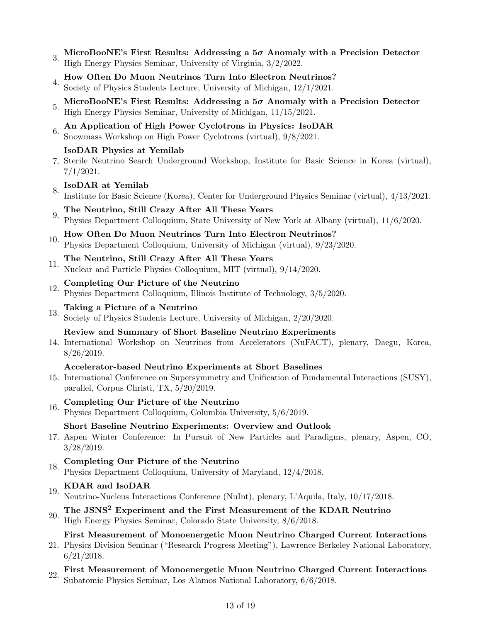- MicroBooNE's First Results: Addressing a  $5\sigma$  Anomaly with a Precision Detector High Energy Physics Seminar, University of Virginia, 3/2/2022.
- 4. How Often Do Muon Neutrinos Turn Into Electron Neutrinos? Society of Physics Students Lecture, University of Michigan, 12/1/2021.
- MicroBooNE's First Results: Addressing a  $5\sigma$  Anomaly with a Precision Detector High Energy Physics Seminar, University of Michigan, 11/15/2021.
- 6. An Application of High Power Cyclotrons in Physics: IsoDAR Snowmass Workshop on High Power Cyclotrons (virtual), 9/8/2021.

### IsoDAR Physics at Yemilab

7. Sterile Neutrino Search Underground Workshop, Institute for Basic Science in Korea (virtual), 7/1/2021.

# 8. IsoDAR at Yemilab

- Institute for Basic Science (Korea), Center for Underground Physics Seminar (virtual), 4/13/2021.
- 9. The Neutrino, Still Crazy After All These Years Physics Department Colloquium, State University of New York at Albany (virtual), 11/6/2020.
- 10. How Often Do Muon Neutrinos Turn Into Electron Neutrinos? Physics Department Colloquium, University of Michigan (virtual), 9/23/2020.

# 11. The Neutrino, Still Crazy After All These Years

Nuclear and Particle Physics Colloquium, MIT (virtual), 9/14/2020.

# $12.$  Completing Our Picture of the Neutrino

Physics Department Colloquium, Illinois Institute of Technology, 3/5/2020.

# 13. Taking a Picture of a Neutrino

Society of Physics Students Lecture, University of Michigan, 2/20/2020.

### Review and Summary of Short Baseline Neutrino Experiments

14. International Workshop on Neutrinos from Accelerators (NuFACT), plenary, Daegu, Korea, 8/26/2019.

### Accelerator-based Neutrino Experiments at Short Baselines

15. International Conference on Supersymmetry and Unification of Fundamental Interactions (SUSY), parallel, Corpus Christi, TX, 5/20/2019.

# 16. Completing Our Picture of the Neutrino

Physics Department Colloquium, Columbia University, 5/6/2019.

### Short Baseline Neutrino Experiments: Overview and Outlook

17. Aspen Winter Conference: In Pursuit of New Particles and Paradigms, plenary, Aspen, CO, 3/28/2019.

# 18. Completing Our Picture of the Neutrino

Physics Department Colloquium, University of Maryland, 12/4/2018.

# 19. KDAR and IsoDAR

Neutrino-Nucleus Interactions Conference (NuInt), plenary, L'Aquila, Italy, 10/17/2018.

# 20. The JSNS<sup>2</sup> Experiment and the First Measurement of the KDAR Neutrino High Energy Physics Seminar, Colorado State University, 8/6/2018.

## First Measurement of Monoenergetic Muon Neutrino Charged Current Interactions

- 21. Physics Division Seminar ("Research Progress Meeting"), Lawrence Berkeley National Laboratory, 6/21/2018.
- 22. First Measurement of Monoenergetic Muon Neutrino Charged Current Interactions Subatomic Physics Seminar, Los Alamos National Laboratory, 6/6/2018.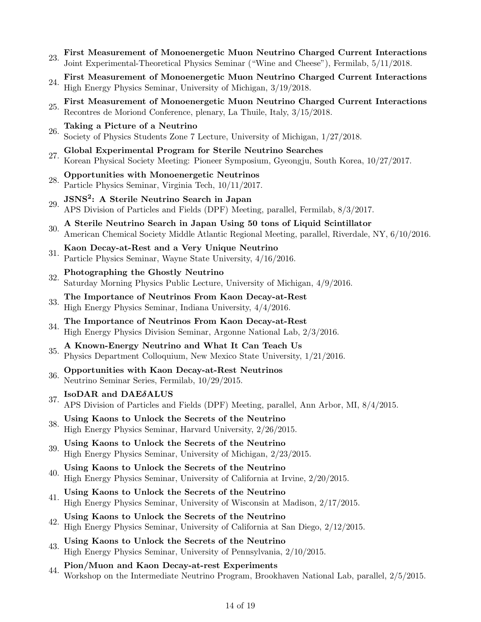- 23. First Measurement of Monoenergetic Muon Neutrino Charged Current Interactions Joint Experimental-Theoretical Physics Seminar ("Wine and Cheese"), Fermilab, 5/11/2018.
- 24. First Measurement of Monoenergetic Muon Neutrino Charged Current Interactions High Energy Physics Seminar, University of Michigan, 3/19/2018.
- 25. First Measurement of Monoenergetic Muon Neutrino Charged Current Interactions Recontres de Moriond Conference, plenary, La Thuile, Italy, 3/15/2018.
- 26. Taking a Picture of a Neutrino Society of Physics Students Zone 7 Lecture, University of Michigan, 1/27/2018.
- 27. Global Experimental Program for Sterile Neutrino Searches Korean Physical Society Meeting: Pioneer Symposium, Gyeongju, South Korea, 10/27/2017.
- 28. Opportunities with Monoenergetic Neutrinos Particle Physics Seminar, Virginia Tech, 10/11/2017.
- 29. JSNS<sup>2</sup>: A Sterile Neutrino Search in Japan<br>29. ADS Division of Perticles and Fields (DDF) Meeti APS Division of Particles and Fields (DPF) Meeting, parallel, Fermilab, 8/3/2017.
- 30. A Sterile Neutrino Search in Japan Using 50 tons of Liquid Scintillator American Chemical Society Middle Atlantic Regional Meeting, parallel, Riverdale, NY, 6/10/2016.
- 31. Kaon Decay-at-Rest and a Very Unique Neutrino Particle Physics Seminar, Wayne State University, 4/16/2016.
- 32. Photographing the Ghostly Neutrino Saturday Morning Physics Public Lecture, University of Michigan, 4/9/2016.
- $33.$  The Importance of Neutrinos From Kaon Decay-at-Rest High Energy Physics Seminar, Indiana University, 4/4/2016.
- $34.$  The Importance of Neutrinos From Kaon Decay-at-Rest High Energy Physics Division Seminar, Argonne National Lab, 2/3/2016.
- 35. A Known-Energy Neutrino and What It Can Teach Us Physics Department Colloquium, New Mexico State University, 1/21/2016.
- 36. Opportunities with Kaon Decay-at-Rest Neutrinos Neutrino Seminar Series, Fermilab, 10/29/2015.

# 37. IsoDAR and DAE $\delta$ ALUS

- APS Division of Particles and Fields (DPF) Meeting, parallel, Ann Arbor, MI, 8/4/2015.
- $38.$  Using Kaons to Unlock the Secrets of the Neutrino High Energy Physics Seminar, Harvard University, 2/26/2015.
- $39.$  Using Kaons to Unlock the Secrets of the Neutrino High Energy Physics Seminar, University of Michigan, 2/23/2015.
- $40.$  Using Kaons to Unlock the Secrets of the Neutrino High Energy Physics Seminar, University of California at Irvine, 2/20/2015.
- 41. Using Kaons to Unlock the Secrets of the Neutrino High Energy Physics Seminar, University of Wisconsin at Madison, 2/17/2015.
- 42. Using Kaons to Unlock the Secrets of the Neutrino High Energy Physics Seminar, University of California at San Diego, 2/12/2015.
- $43.$  Using Kaons to Unlock the Secrets of the Neutrino High Energy Physics Seminar, University of Pennsylvania, 2/10/2015.
- 44. Pion/Muon and Kaon Decay-at-rest Experiments Workshop on the Intermediate Neutrino Program, Brookhaven National Lab, parallel, 2/5/2015.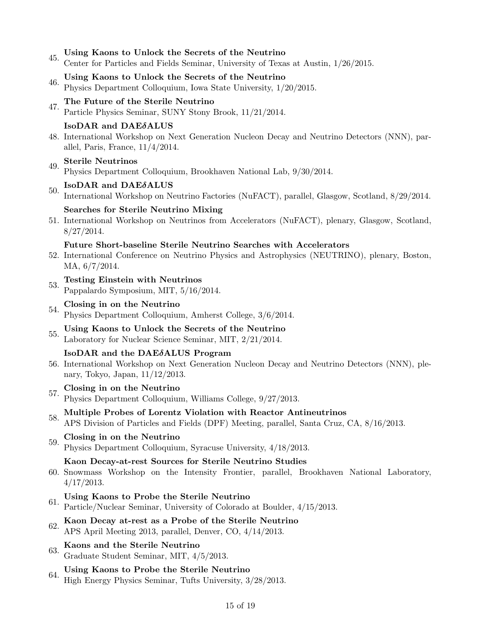- 45. Using Kaons to Unlock the Secrets of the Neutrino
	- Center for Particles and Fields Seminar, University of Texas at Austin, 1/26/2015.
- $46.$  Using Kaons to Unlock the Secrets of the Neutrino Physics Department Colloquium, Iowa State University, 1/20/2015.
- 47. The Future of the Sterile Neutrino Particle Physics Seminar, SUNY Stony Brook, 11/21/2014.

### IsoDAR and DAEδALUS

48. International Workshop on Next Generation Nucleon Decay and Neutrino Detectors (NNN), parallel, Paris, France, 11/4/2014.

# 49. Sterile Neutrinos

Physics Department Colloquium, Brookhaven National Lab, 9/30/2014.

# $50.$  IsoDAR and DAE $\delta$ ALUS

International Workshop on Neutrino Factories (NuFACT), parallel, Glasgow, Scotland, 8/29/2014.

### Searches for Sterile Neutrino Mixing

51. International Workshop on Neutrinos from Accelerators (NuFACT), plenary, Glasgow, Scotland, 8/27/2014.

#### Future Short-baseline Sterile Neutrino Searches with Accelerators

- 52. International Conference on Neutrino Physics and Astrophysics (NEUTRINO), plenary, Boston, MA, 6/7/2014.
- 53. Testing Einstein with Neutrinos
- Pappalardo Symposium, MIT, 5/16/2014.
- $54.$  Closing in on the Neutrino
- Physics Department Colloquium, Amherst College, 3/6/2014.
- $55.$  Using Kaons to Unlock the Secrets of the Neutrino Laboratory for Nuclear Science Seminar, MIT, 2/21/2014.

#### IsoDAR and the DAEδALUS Program

56. International Workshop on Next Generation Nucleon Decay and Neutrino Detectors (NNN), plenary, Tokyo, Japan, 11/12/2013.

# $57.$  Closing in on the Neutrino

Physics Department Colloquium, Williams College, 9/27/2013.

# 58. Multiple Probes of Lorentz Violation with Reactor Antineutrinos

APS Division of Particles and Fields (DPF) Meeting, parallel, Santa Cruz, CA, 8/16/2013.

# $59.$  Closing in on the Neutrino

Physics Department Colloquium, Syracuse University, 4/18/2013.

#### Kaon Decay-at-rest Sources for Sterile Neutrino Studies

60. Snowmass Workshop on the Intensity Frontier, parallel, Brookhaven National Laboratory, 4/17/2013.

# 61. Using Kaons to Probe the Sterile Neutrino

Particle/Nuclear Seminar, University of Colorado at Boulder, 4/15/2013.

### 62. Kaon Decay at-rest as a Probe of the Sterile Neutrino APS April Meeting 2013, parallel, Denver, CO, 4/14/2013.

### 63. Kaons and the Sterile Neutrino Graduate Student Seminar, MIT, 4/5/2013.

64. Using Kaons to Probe the Sterile Neutrino High Energy Physics Seminar, Tufts University, 3/28/2013.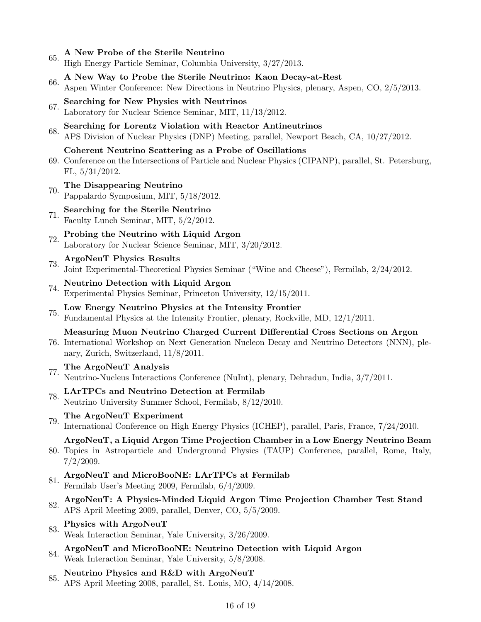$65.$  A New Probe of the Sterile Neutrino

High Energy Particle Seminar, Columbia University, 3/27/2013.

- 66. A New Way to Probe the Sterile Neutrino: Kaon Decay-at-Rest Aspen Winter Conference: New Directions in Neutrino Physics, plenary, Aspen, CO, 2/5/2013.
- 67. Searching for New Physics with Neutrinos Laboratory for Nuclear Science Seminar, MIT, 11/13/2012.
- 68. Searching for Lorentz Violation with Reactor Antineutrinos APS Division of Nuclear Physics (DNP) Meeting, parallel, Newport Beach, CA, 10/27/2012.
	- Coherent Neutrino Scattering as a Probe of Oscillations
- 69. Conference on the Intersections of Particle and Nuclear Physics (CIPANP), parallel, St. Petersburg, FL, 5/31/2012.
- 70. The Disappearing Neutrino Pappalardo Symposium, MIT, 5/18/2012.
- 71. Searching for the Sterile Neutrino Faculty Lunch Seminar, MIT, 5/2/2012.
- $72.$  Probing the Neutrino with Liquid Argon Laboratory for Nuclear Science Seminar, MIT, 3/20/2012.
- 73. ArgoNeuT Physics Results Joint Experimental-Theoretical Physics Seminar ("Wine and Cheese"), Fermilab, 2/24/2012.
- 74. Neutrino Detection with Liquid Argon Experimental Physics Seminar, Princeton University, 12/15/2011.
- 75. Low Energy Neutrino Physics at the Intensity Frontier Fundamental Physics at the Intensity Frontier, plenary, Rockville, MD, 12/1/2011.

Measuring Muon Neutrino Charged Current Differential Cross Sections on Argon

- 76. International Workshop on Next Generation Nucleon Decay and Neutrino Detectors (NNN), plenary, Zurich, Switzerland, 11/8/2011.
- 77. The ArgoNeuT Analysis
- Neutrino-Nucleus Interactions Conference (NuInt), plenary, Dehradun, India, 3/7/2011.
- 78. LArTPCs and Neutrino Detection at Fermilab Neutrino University Summer School, Fermilab, 8/12/2010.
- 79. The ArgoNeuT Experiment

International Conference on High Energy Physics (ICHEP), parallel, Paris, France, 7/24/2010.

ArgoNeuT, a Liquid Argon Time Projection Chamber in a Low Energy Neutrino Beam

- 80. Topics in Astroparticle and Underground Physics (TAUP) Conference, parallel, Rome, Italy, 7/2/2009.
- 81.  $ArgoNeuT$  and MicroBooNE: LArTPCs at Fermilab
- Fermilab User's Meeting 2009, Fermilab, 6/4/2009.
- 82. ArgoNeuT: A Physics-Minded Liquid Argon Time Projection Chamber Test Stand APS April Meeting 2009, parallel, Denver, CO, 5/5/2009.
- 83. Physics with ArgoNeuT
- Weak Interaction Seminar, Yale University, 3/26/2009.
- 84. ArgoNeuT and MicroBooNE: Neutrino Detection with Liquid Argon Weak Interaction Seminar, Yale University, 5/8/2008.
- 85. Neutrino Physics and R&D with ArgoNeuT APS April Meeting 2008, parallel, St. Louis, MO, 4/14/2008.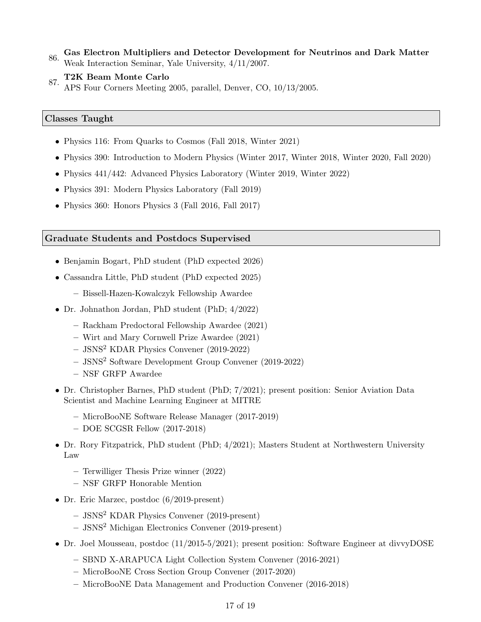- 86. Gas Electron Multipliers and Detector Development for Neutrinos and Dark Matter Weak Interaction Seminar, Yale University, 4/11/2007.
- 87. T2K Beam Monte Carlo
	- APS Four Corners Meeting 2005, parallel, Denver, CO, 10/13/2005.

### Classes Taught

- Physics 116: From Quarks to Cosmos (Fall 2018, Winter 2021)
- Physics 390: Introduction to Modern Physics (Winter 2017, Winter 2018, Winter 2020, Fall 2020)
- Physics 441/442: Advanced Physics Laboratory (Winter 2019, Winter 2022)
- Physics 391: Modern Physics Laboratory (Fall 2019)
- Physics 360: Honors Physics 3 (Fall 2016, Fall 2017)

#### Graduate Students and Postdocs Supervised

- Benjamin Bogart, PhD student (PhD expected 2026)
- Cassandra Little, PhD student (PhD expected 2025)
	- Bissell-Hazen-Kowalczyk Fellowship Awardee
- Dr. Johnathon Jordan, PhD student (PhD; 4/2022)
	- Rackham Predoctoral Fellowship Awardee (2021)
	- Wirt and Mary Cornwell Prize Awardee (2021)
	- JSNS<sup>2</sup> KDAR Physics Convener (2019-2022)
	- JSNS<sup>2</sup> Software Development Group Convener (2019-2022)
	- NSF GRFP Awardee
- Dr. Christopher Barnes, PhD student (PhD; 7/2021); present position: Senior Aviation Data Scientist and Machine Learning Engineer at MITRE
	- MicroBooNE Software Release Manager (2017-2019)
	- DOE SCGSR Fellow (2017-2018)
- Dr. Rory Fitzpatrick, PhD student (PhD; 4/2021); Masters Student at Northwestern University Law
	- Terwilliger Thesis Prize winner (2022)
	- NSF GRFP Honorable Mention
- Dr. Eric Marzec, postdoc (6/2019-present)
	- JSNS<sup>2</sup> KDAR Physics Convener (2019-present)
	- JSNS<sup>2</sup> Michigan Electronics Convener (2019-present)
- Dr. Joel Mousseau, postdoc (11/2015-5/2021); present position: Software Engineer at divvyDOSE
	- SBND X-ARAPUCA Light Collection System Convener (2016-2021)
	- MicroBooNE Cross Section Group Convener (2017-2020)
	- MicroBooNE Data Management and Production Convener (2016-2018)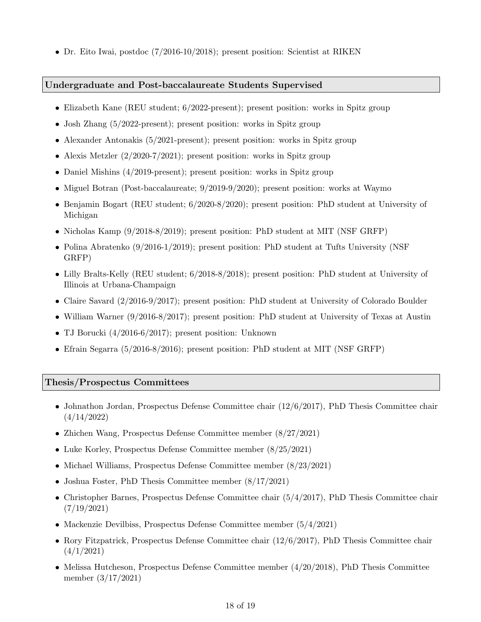• Dr. Eito Iwai, postdoc (7/2016-10/2018); present position: Scientist at RIKEN

#### Undergraduate and Post-baccalaureate Students Supervised

- Elizabeth Kane (REU student; 6/2022-present); present position: works in Spitz group
- Josh Zhang (5/2022-present); present position: works in Spitz group
- Alexander Antonakis (5/2021-present); present position: works in Spitz group
- Alexis Metzler  $(2/2020-7/2021)$ ; present position: works in Spitz group
- Daniel Mishins (4/2019-present); present position: works in Spitz group
- Miguel Botran (Post-baccalaureate;  $9/2019-9/2020$ ); present position: works at Waymo
- Benjamin Bogart (REU student; 6/2020-8/2020); present position: PhD student at University of Michigan
- Nicholas Kamp (9/2018-8/2019); present position: PhD student at MIT (NSF GRFP)
- Polina Abratenko (9/2016-1/2019); present position: PhD student at Tufts University (NSF) GRFP)
- Lilly Bralts-Kelly (REU student; 6/2018-8/2018); present position: PhD student at University of Illinois at Urbana-Champaign
- Claire Savard  $(2/2016-9/2017)$ ; present position: PhD student at University of Colorado Boulder
- William Warner (9/2016-8/2017); present position: PhD student at University of Texas at Austin
- TJ Borucki (4/2016-6/2017); present position: Unknown
- Efrain Segarra (5/2016-8/2016); present position: PhD student at MIT (NSF GRFP)

#### Thesis/Prospectus Committees

- Johnathon Jordan, Prospectus Defense Committee chair (12/6/2017), PhD Thesis Committee chair (4/14/2022)
- Zhichen Wang, Prospectus Defense Committee member (8/27/2021)
- Luke Korley, Prospectus Defense Committee member (8/25/2021)
- Michael Williams, Prospectus Defense Committee member (8/23/2021)
- Joshua Foster, PhD Thesis Committee member (8/17/2021)
- Christopher Barnes, Prospectus Defense Committee chair (5/4/2017), PhD Thesis Committee chair (7/19/2021)
- Mackenzie Devilbiss, Prospectus Defense Committee member (5/4/2021)
- Rory Fitzpatrick, Prospectus Defense Committee chair (12/6/2017), PhD Thesis Committee chair (4/1/2021)
- Melissa Hutcheson, Prospectus Defense Committee member (4/20/2018), PhD Thesis Committee member (3/17/2021)